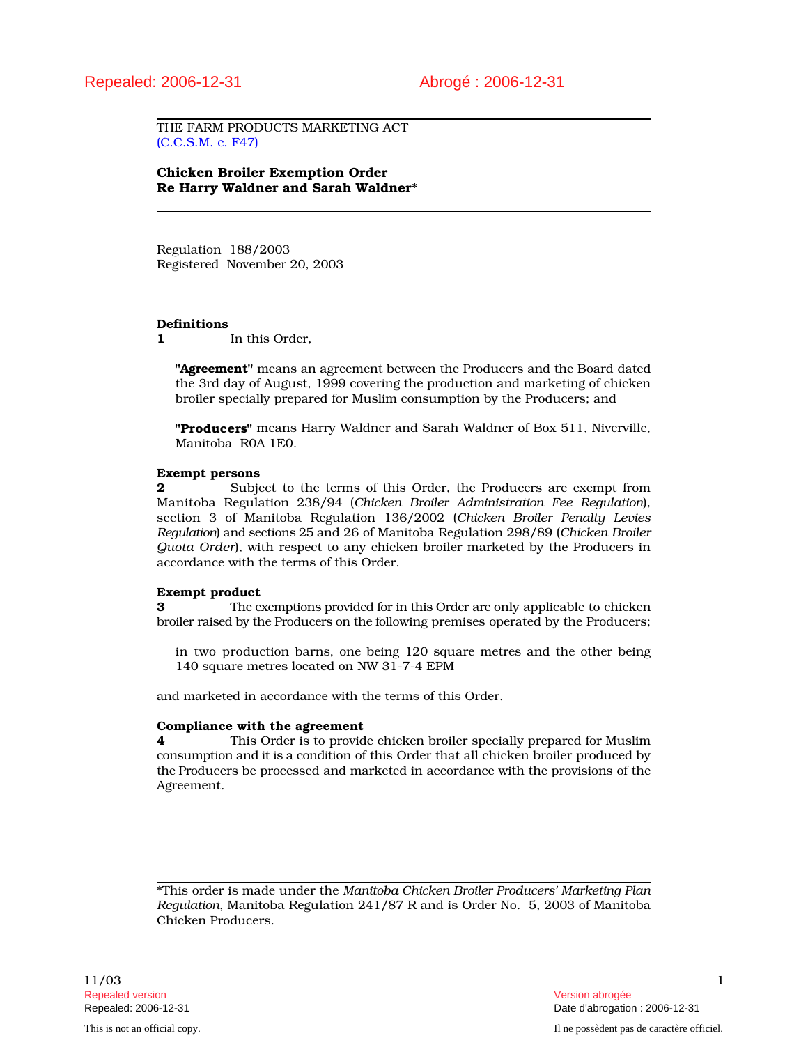THE FARM PRODUCTS MARKETING ACT (C.C.S.M. c. F47)

Chicken Broiler Exemption Order Re Harry Waldner and Sarah Waldner\*

Regulation 188/2003 Registered November 20, 2003

#### Definitions

1 In this Order.

"Agreement" means an agreement between the Producers and the Board dated the 3rd day of August, 1999 covering the production and marketing of chicken broiler specially prepared for Muslim consumption by the Producers; and

"Producers" means Harry Waldner and Sarah Waldner of Box 511, Niverville, Manitoba R0A 1E0.

#### Exempt persons

2 Subject to the terms of this Order, the Producers are exempt from Manitoba Regulation 238/94 (*Chicken Broiler Administration Fee Regulation*), section 3 of Manitoba Regulation 136/2002 (*Chicken Broiler Penalty Levies Regulation*) and sections 25 and 26 of Manitoba Regulation 298/89 (*Chicken Broiler Quota Order*), with respect to any chicken broiler marketed by the Producers in accordance with the terms of this Order.

#### Exempt product

**3** The exemptions provided for in this Order are only applicable to chicken broiler raised by the Producers on the following premises operated by the Producers;

in two production barns, one being 120 square metres and the other being 140 square metres located on NW 31-7-4 EPM

and marketed in accordance with the terms of this Order.

#### Compliance with the agreement

4 This Order is to provide chicken broiler specially prepared for Muslim consumption and it is a condition of this Order that all chicken broiler produced by the Producers be processed and marketed in accordance with the provisions of the Agreement.

\*This order is made under the *Manitoba Chicken Broiler Producers' Marketing Plan Regulation*, Manitoba Regulation 241/87 R and is Order No. 5, 2003 of Manitoba Chicken Producers.